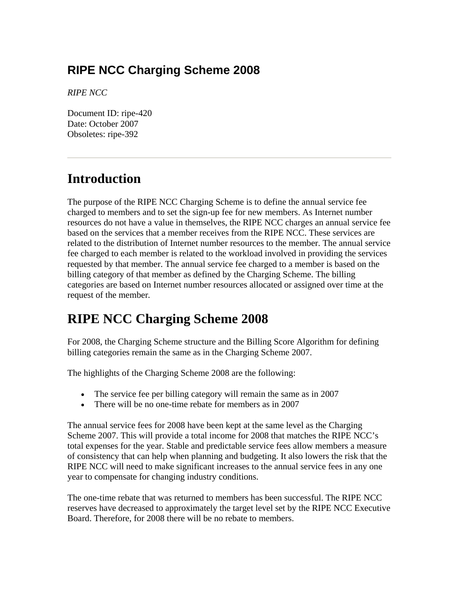## **RIPE NCC Charging Scheme 2008**

*RIPE NCC*

Document ID: ripe-420 Date: October 2007 Obsoletes: ripe-392

# **Introduction**

The purpose of the RIPE NCC Charging Scheme is to define the annual service fee charged to members and to set the sign-up fee for new members. As Internet number resources do not have a value in themselves, the RIPE NCC charges an annual service fee based on the services that a member receives from the RIPE NCC. These services are related to the distribution of Internet number resources to the member. The annual service fee charged to each member is related to the workload involved in providing the services requested by that member. The annual service fee charged to a member is based on the billing category of that member as defined by the Charging Scheme. The billing categories are based on Internet number resources allocated or assigned over time at the request of the member*.*

# **RIPE NCC Charging Scheme 2008**

For 2008, the Charging Scheme structure and the Billing Score Algorithm for defining billing categories remain the same as in the Charging Scheme 2007.

The highlights of the Charging Scheme 2008 are the following:

- The service fee per billing category will remain the same as in 2007
- There will be no one-time rebate for members as in 2007

The annual service fees for 2008 have been kept at the same level as the Charging Scheme 2007. This will provide a total income for 2008 that matches the RIPE NCC's total expenses for the year. Stable and predictable service fees allow members a measure of consistency that can help when planning and budgeting. It also lowers the risk that the RIPE NCC will need to make significant increases to the annual service fees in any one year to compensate for changing industry conditions.

The one-time rebate that was returned to members has been successful. The RIPE NCC reserves have decreased to approximately the target level set by the RIPE NCC Executive Board. Therefore, for 2008 there will be no rebate to members.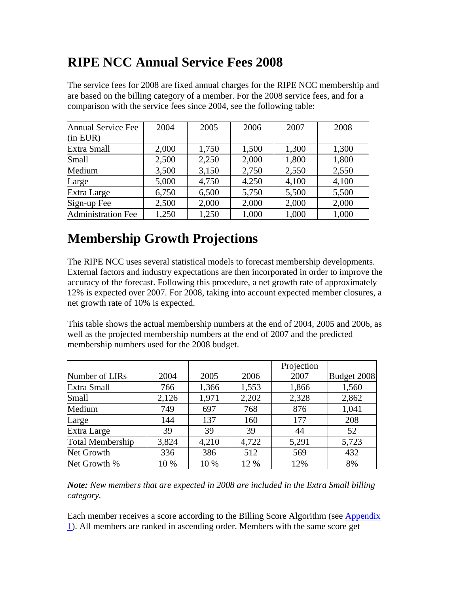## **RIPE NCC Annual Service Fees 2008**

The service fees for 2008 are fixed annual charges for the RIPE NCC membership and are based on the billing category of a member. For the 2008 service fees, and for a comparison with the service fees since 2004, see the following table:

| Annual Service Fee        | 2004  | 2005  | 2006  | 2007  | 2008  |
|---------------------------|-------|-------|-------|-------|-------|
| $(in$ EUR $)$             |       |       |       |       |       |
| Extra Small               | 2,000 | 1,750 | 1,500 | 1,300 | 1,300 |
| Small                     | 2,500 | 2,250 | 2,000 | 1,800 | 1,800 |
| Medium                    | 3,500 | 3,150 | 2,750 | 2,550 | 2,550 |
| Large                     | 5,000 | 4,750 | 4,250 | 4,100 | 4,100 |
| Extra Large               | 6,750 | 6,500 | 5,750 | 5,500 | 5,500 |
| Sign-up Fee               | 2,500 | 2,000 | 2,000 | 2,000 | 2,000 |
| <b>Administration Fee</b> | 1,250 | 1,250 | 1,000 | 1,000 | 1,000 |

# **Membership Growth Projections**

The RIPE NCC uses several statistical models to forecast membership developments. External factors and industry expectations are then incorporated in order to improve the accuracy of the forecast. Following this procedure, a net growth rate of approximately 12% is expected over 2007. For 2008, taking into account expected member closures, a net growth rate of 10% is expected.

This table shows the actual membership numbers at the end of 2004, 2005 and 2006, as well as the projected membership numbers at the end of 2007 and the predicted membership numbers used for the 2008 budget.

|                         |       |       |       | Projection |             |
|-------------------------|-------|-------|-------|------------|-------------|
| Number of LIRs          | 2004  | 2005  | 2006  | 2007       | Budget 2008 |
| Extra Small             | 766   | 1,366 | 1,553 | 1,866      | 1,560       |
| Small                   | 2,126 | 1,971 | 2,202 | 2,328      | 2,862       |
| Medium                  | 749   | 697   | 768   | 876        | 1,041       |
| Large                   | 144   | 137   | 160   | 177        | 208         |
| Extra Large             | 39    | 39    | 39    | 44         | 52          |
| <b>Total Membership</b> | 3,824 | 4,210 | 4,722 | 5,291      | 5,723       |
| Net Growth              | 336   | 386   | 512   | 569        | 432         |
| Net Growth %            | 10 %  | 10 %  | 12 %  | 12%        | 8%          |

*Note: New members that are expected in 2008 are included in the Extra Small billing category.* 

Each member receives a score according to the Billing Score Algorithm (see [Appendix](http://ripe.net/ripe/docs/ripe-420.html#app1)  [1](http://ripe.net/ripe/docs/ripe-420.html#app1)). All members are ranked in ascending order. Members with the same score get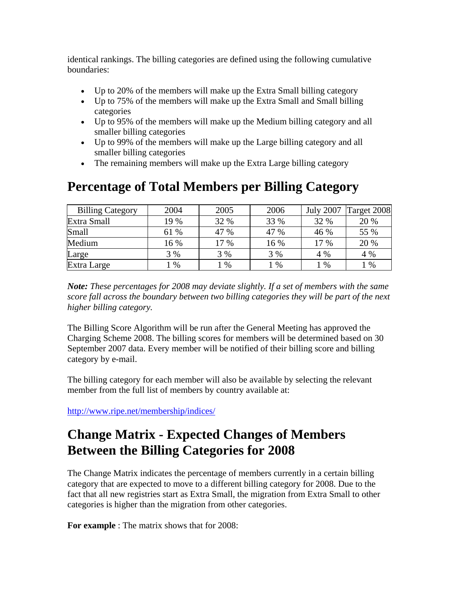identical rankings. The billing categories are defined using the following cumulative boundaries:

- Up to 20% of the members will make up the Extra Small billing category
- Up to 75% of the members will make up the Extra Small and Small billing categories
- Up to 95% of the members will make up the Medium billing category and all smaller billing categories
- Up to 99% of the members will make up the Large billing category and all smaller billing categories
- The remaining members will make up the Extra Large billing category

#### **Percentage of Total Members per Billing Category**

| <b>Billing Category</b> | 2004 | 2005 | 2006 | <b>July 2007</b> | Target 2008 |
|-------------------------|------|------|------|------------------|-------------|
| Extra Small             | 19 % | 32 % | 33 % | 32 %             | 20 %        |
| Small                   | 61 % | 47 % | 47 % | 46 %             | 55 %        |
| Medium                  | 16 % | 17 % | 16 % | 17 %             | 20 %        |
| Large                   | 3 %  | 3 %  | 3 %  | 4 %              | 4 %         |
| Extra Large             | %    | %    | %    | $\%$             | %           |

*Note: These percentages for 2008 may deviate slightly. If a set of members with the same score fall across the boundary between two billing categories they will be part of the next higher billing category.*

The Billing Score Algorithm will be run after the General Meeting has approved the Charging Scheme 2008. The billing scores for members will be determined based on 30 September 2007 data. Every member will be notified of their billing score and billing category by e-mail.

The billing category for each member will also be available by selecting the relevant member from the full list of members by country available at:

<http://www.ripe.net/membership/indices/>

## **Change Matrix - Expected Changes of Members Between the Billing Categories for 2008**

The Change Matrix indicates the percentage of members currently in a certain billing category that are expected to move to a different billing category for 2008. Due to the fact that all new registries start as Extra Small, the migration from Extra Small to other categories is higher than the migration from other categories.

**For example** : The matrix shows that for 2008: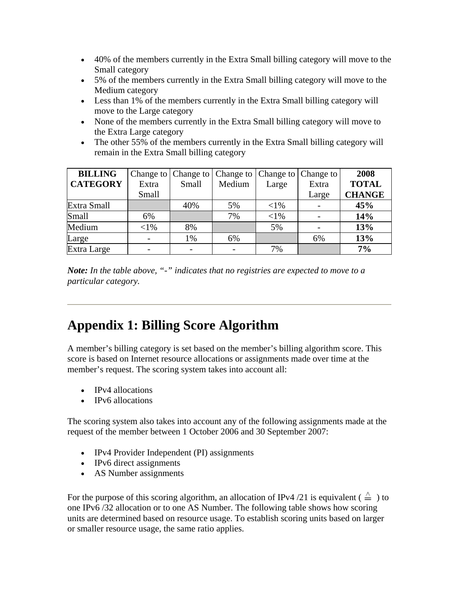- 40% of the members currently in the Extra Small billing category will move to the Small category
- 5% of the members currently in the Extra Small billing category will move to the Medium category
- Less than 1% of the members currently in the Extra Small billing category will move to the Large category
- None of the members currently in the Extra Small billing category will move to the Extra Large category
- The other 55% of the members currently in the Extra Small billing category will remain in the Extra Small billing category

| <b>BILLING</b>  |         | Change to Change to | Change to $\vert$ |         | Change to Change to | 2008          |
|-----------------|---------|---------------------|-------------------|---------|---------------------|---------------|
| <b>CATEGORY</b> | Extra   | Small               | Medium            | Large   | Extra               | <b>TOTAL</b>  |
|                 | Small   |                     |                   |         | Large               | <b>CHANGE</b> |
| Extra Small     |         | 40%                 | 5%                | $< 1\%$ |                     | 45%           |
| Small           | 6%      |                     | 7%                | $< 1\%$ |                     | 14%           |
| Medium          | $< 1\%$ | 8%                  |                   | 5%      |                     | 13%           |
| Large           |         | 1%                  | 6%                |         | 6%                  | 13%           |
| Extra Large     |         |                     |                   | 7%      |                     | 7%            |

*Note: In the table above, "-" indicates that no registries are expected to move to a particular category.* 

# **Appendix 1: Billing Score Algorithm**

A member's billing category is set based on the member's billing algorithm score. This score is based on Internet resource allocations or assignments made over time at the member's request. The scoring system takes into account all:

- **IPv4** allocations
- IPv6 allocations

The scoring system also takes into account any of the following assignments made at the request of the member between 1 October 2006 and 30 September 2007:

- IPv4 Provider Independent (PI) assignments
- IPv6 direct assignments
- AS Number assignments

For the purpose of this scoring algorithm, an allocation of IPv4 /21 is equivalent ( $\triangleq$ ) to one IPv6 /32 allocation or to one AS Number. The following table shows how scoring units are determined based on resource usage. To establish scoring units based on larger or smaller resource usage, the same ratio applies.